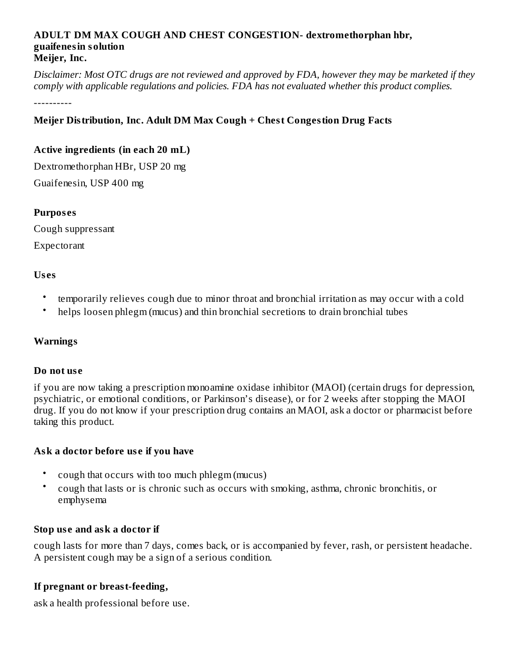#### **ADULT DM MAX COUGH AND CHEST CONGESTION- dextromethorphan hbr, guaifenesin solution Meijer, Inc.**

Disclaimer: Most OTC drugs are not reviewed and approved by FDA, however they may be marketed if they *comply with applicable regulations and policies. FDA has not evaluated whether this product complies.*

----------

### **Meijer Distribution, Inc. Adult DM Max Cough + Chest Congestion Drug Facts**

#### **Active ingredients (in each 20 mL)**

Dextromethorphan HBr, USP 20 mg Guaifenesin, USP 400 mg

#### **Purpos es**

Cough suppressant Expectorant

#### **Us es**

- temporarily relieves cough due to minor throat and bronchial irritation as may occur with a cold
- helps loosen phlegm (mucus) and thin bronchial secretions to drain bronchial tubes

#### **Warnings**

#### **Do not us e**

if you are now taking a prescription monoamine oxidase inhibitor (MAOI) (certain drugs for depression, psychiatric, or emotional conditions, or Parkinson's disease), or for 2 weeks after stopping the MAOI drug. If you do not know if your prescription drug contains an MAOI, ask a doctor or pharmacist before taking this product.

#### **Ask a doctor before us e if you have**

- cough that occurs with too much phlegm (mucus)
- cough that lasts or is chronic such as occurs with smoking, asthma, chronic bronchitis, or emphysema

#### **Stop us e and ask a doctor if**

cough lasts for more than 7 days, comes back, or is accompanied by fever, rash, or persistent headache. A persistent cough may be a sign of a serious condition.

#### **If pregnant or breast-feeding,**

ask a health professional before use.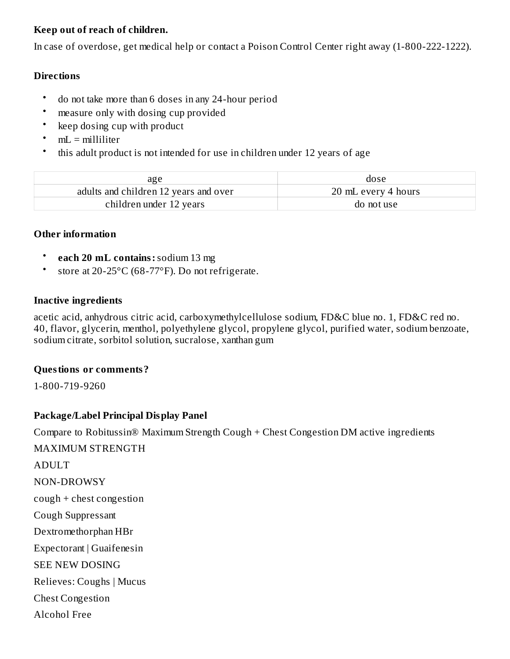#### **Keep out of reach of children.**

In case of overdose, get medical help or contact a Poison Control Center right away (1-800-222-1222).

#### **Directions**

- do not take more than 6 doses in any 24-hour period
- measure only with dosing cup provided
- keep dosing cup with product
- $mL =$  milliliter
- this adult product is not intended for use in children under 12 years of age

| age                                   | dose                |
|---------------------------------------|---------------------|
| adults and children 12 years and over | 20 mL every 4 hours |
| children under 12 years               | do not use          |

#### **Other information**

- **each 20 mL contains:**sodium 13 mg
- store at 20-25°C (68-77°F). Do not refrigerate.

#### **Inactive ingredients**

acetic acid, anhydrous citric acid, carboxymethylcellulose sodium, FD&C blue no. 1, FD&C red no. 40, flavor, glycerin, menthol, polyethylene glycol, propylene glycol, purified water, sodium benzoate, sodium citrate, sorbitol solution, sucralose, xanthan gum

#### **Questions or comments?**

1-800-719-9260

### **Package/Label Principal Display Panel**

Compare to Robitussin® Maximum Strength Cough + Chest Congestion DM active ingredients

MAXIMUM STRENGTH ADULT NON-DROWSY cough + chest congestion Cough Suppressant Dextromethorphan HBr Expectorant | Guaifenesin SEE NEW DOSING Relieves: Coughs | Mucus Chest Congestion Alcohol Free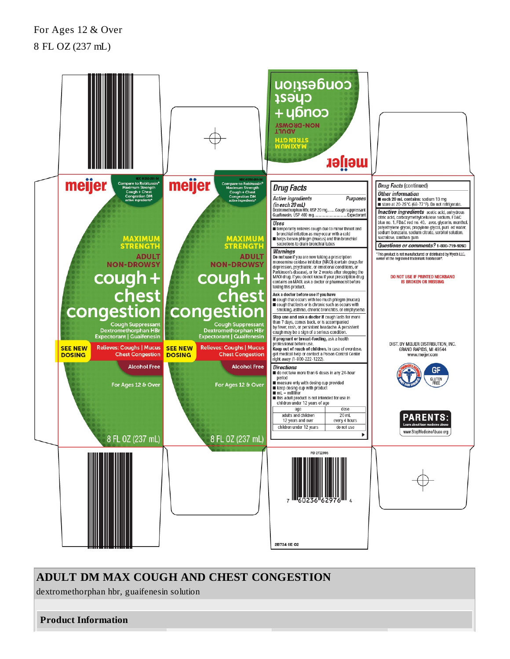# For Ages 12 & Over 8 FL OZ (237 mL)



## **ADULT DM MAX COUGH AND CHEST CONGESTION**

dextromethorphan hbr, guaifenesin solution

**Product Information**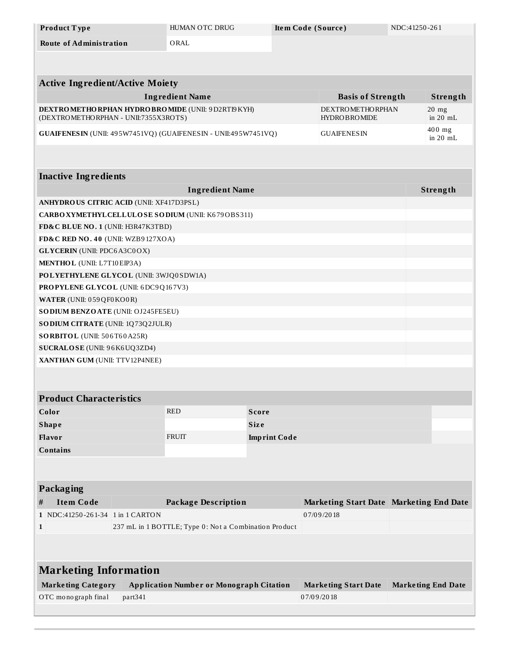| Product Type                                                  | HUMAN OTC DRUG         | Item Code (Source) |                          | NDC:41250-261 |          |
|---------------------------------------------------------------|------------------------|--------------------|--------------------------|---------------|----------|
| <b>Route of Administration</b>                                | ORAL                   |                    |                          |               |          |
|                                                               |                        |                    |                          |               |          |
|                                                               |                        |                    |                          |               |          |
| <b>Active Ingredient/Active Moiety</b>                        |                        |                    |                          |               |          |
|                                                               | <b>Ingredient Name</b> |                    | <b>Basis of Strength</b> |               | Strength |
| <b>DEXTRO METHO RPHAN HYDRO BRO MIDE (UNII: 9 D2RTI9 KYH)</b> |                        |                    | <b>DEXTROMETHORPHAN</b>  |               | $20$ mg  |

| DEAT NO MET HO NETRIN HITDNO DNO MIDE ( ONII, J DZNI IJN HIJ          | $L_{\rm BLA1}$ No ME 11 IO NETENT | $20$ $\mu$ g             |
|-----------------------------------------------------------------------|-----------------------------------|--------------------------|
| (DEXTROMETHORPHAN - UNII:7355X3ROTS)                                  | <b>HYDROBROMIDE</b>               | $\ln 20$ mL              |
| <b>GUAIFENESIN</b> (UNII: 495W7451VQ) (GUAIFENESIN - UNII:495W7451VQ) | <b>GUAIFENESIN</b>                | $400$ mg<br>$\sin 20$ mL |

# **Inactive Ingredients**

| <b>Ingredient Name</b>                           | Strength |
|--------------------------------------------------|----------|
| <b>ANHYDROUS CITRIC ACID (UNII: XF417D3PSL)</b>  |          |
| CARBOXYMETHYLCELLULOSE SODIUM (UNII: K679OBS311) |          |
| FD&C BLUE NO. 1 (UNII: H3R47K3TBD)               |          |
| FD&C RED NO. 40 (UNII: WZB9127XOA)               |          |
| <b>GLYCERIN</b> (UNII: PDC6A3C0OX)               |          |
| <b>MENTHOL</b> (UNII: L7T10EIP3A)                |          |
| POLYETHYLENE GLYCOL (UNII: 3WJQ0SDW1A)           |          |
| <b>PROPYLENE GLYCOL (UNII: 6DC9Q167V3)</b>       |          |
| <b>WATER</b> (UNII: 059 QF0 KO0 R)               |          |
| <b>SODIUM BENZOATE (UNII: OJ245FE5EU)</b>        |          |
| <b>SODIUM CITRATE (UNII: 1Q73Q2JULR)</b>         |          |
| <b>SORBITOL</b> (UNII: 506T60A25R)               |          |
| <b>SUCRALOSE</b> (UNII: 96K6UQ3ZD4)              |          |
| XANTHAN GUM (UNII: TTV12P4NEE)                   |          |

## **Product Characteristics**

| Color           | <b>RED</b>   | Score               |  |
|-----------------|--------------|---------------------|--|
| <b>Shape</b>    |              | <b>Size</b>         |  |
| <b>Flavor</b>   | <b>FRUIT</b> | <b>Imprint Code</b> |  |
| <b>Contains</b> |              |                     |  |

## **Packaging**

| # | Item Code                        | Package Description                                   | Marketing Start Date Marketing End Date |  |
|---|----------------------------------|-------------------------------------------------------|-----------------------------------------|--|
|   | 1 NDC:41250-261-34 1 in 1 CARTON |                                                       | 07/09/2018                              |  |
|   |                                  | 237 mL in 1 BOTTLE; Type 0: Not a Combination Product |                                         |  |

| <b>Marketing Information</b> |                                                 |                             |                           |  |  |
|------------------------------|-------------------------------------------------|-----------------------------|---------------------------|--|--|
| <b>Marketing Category</b>    | <b>Application Number or Monograph Citation</b> | <b>Marketing Start Date</b> | <b>Marketing End Date</b> |  |  |
| OTC monograph final          | part <sub>341</sub>                             | 07/09/2018                  |                           |  |  |